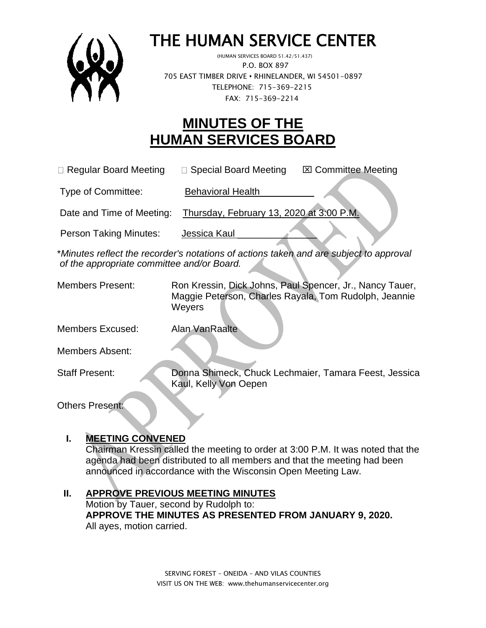

# THE HUMAN SERVICE CENTER

 (HUMAN SERVICES BOARD 51.42/51.437) P.O. BOX 897 705 EAST TIMBER DRIVE **•** RHINELANDER, WI 54501-0897 TELEPHONE: 715-369-2215 FAX: 715-369-2214

# **MINUTES OF THE HUMAN SERVICES BOARD**

 $\Box$  Regular Board Meeting  $\Box$  Special Board Meeting  $\Box$  Committee Meeting

Type of Committee: Behavioral Health

Date and Time of Meeting: Thursday, February 13, 2020 at 3:00 P.M.

Person Taking Minutes: Jessica Kaul

\**Minutes reflect the recorder's notations of actions taken and are subject to approval of the appropriate committee and/or Board.*

Members Present: Ron Kressin, Dick Johns, Paul Spencer, Jr., Nancy Tauer, Maggie Peterson, Charles Rayala, Tom Rudolph, Jeannie **Weyers** 

Members Excused: Alan VanRaalte

Members Absent:

Staff Present: Donna Shimeck, Chuck Lechmaier, Tamara Feest, Jessica Kaul, Kelly Von Oepen

Others Present:

# **I. MEETING CONVENED**

Chairman Kressin called the meeting to order at 3:00 P.M. It was noted that the agenda had been distributed to all members and that the meeting had been announced in accordance with the Wisconsin Open Meeting Law.

### **II. APPROVE PREVIOUS MEETING MINUTES**

Motion by Tauer, second by Rudolph to: **APPROVE THE MINUTES AS PRESENTED FROM JANUARY 9, 2020.** All ayes, motion carried.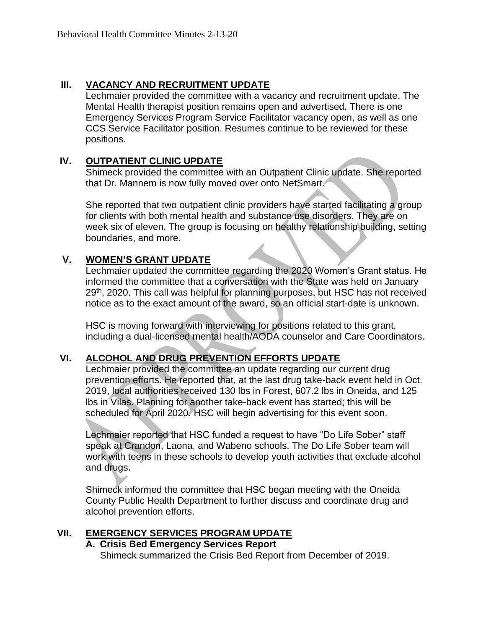#### **III. VACANCY AND RECRUITMENT UPDATE**

Lechmaier provided the committee with a vacancy and recruitment update. The Mental Health therapist position remains open and advertised. There is one Emergency Services Program Service Facilitator vacancy open, as well as one CCS Service Facilitator position. Resumes continue to be reviewed for these positions.

#### **IV. OUTPATIENT CLINIC UPDATE**

Shimeck provided the committee with an Outpatient Clinic update. She reported that Dr. Mannem is now fully moved over onto NetSmart.

She reported that two outpatient clinic providers have started facilitating a group for clients with both mental health and substance use disorders. They are on week six of eleven. The group is focusing on healthy relationship building, setting boundaries, and more.

#### **V. WOMEN'S GRANT UPDATE**

Lechmaier updated the committee regarding the 2020 Women's Grant status. He informed the committee that a conversation with the State was held on January 29<sup>th</sup>, 2020. This call was helpful for planning purposes, but HSC has not received notice as to the exact amount of the award, so an official start-date is unknown.

HSC is moving forward with interviewing for positions related to this grant, including a dual-licensed mental health/AODA counselor and Care Coordinators.

#### **VI. ALCOHOL AND DRUG PREVENTION EFFORTS UPDATE**

Lechmaier provided the committee an update regarding our current drug prevention efforts. He reported that, at the last drug take-back event held in Oct. 2019, local authorities received 130 lbs in Forest, 607.2 lbs in Oneida, and 125 lbs in Vilas. Planning for another take-back event has started; this will be scheduled for April 2020. HSC will begin advertising for this event soon.

Lechmaier reported that HSC funded a request to have "Do Life Sober" staff speak at Crandon, Laona, and Wabeno schools. The Do Life Sober team will work with teens in these schools to develop youth activities that exclude alcohol and drugs.

Shimeck informed the committee that HSC began meeting with the Oneida County Public Health Department to further discuss and coordinate drug and alcohol prevention efforts.

#### **VII. EMERGENCY SERVICES PROGRAM UPDATE**

# **A. Crisis Bed Emergency Services Report**

Shimeck summarized the Crisis Bed Report from December of 2019.